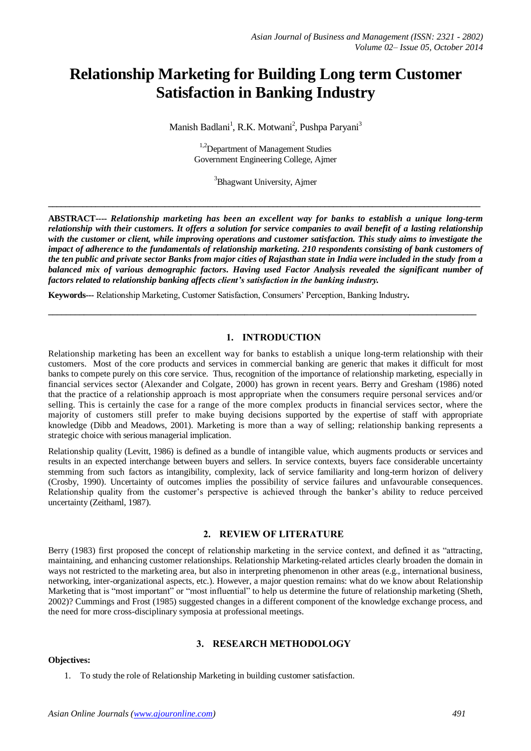# **Relationship Marketing for Building Long term Customer Satisfaction in Banking Industry**

Manish Badlani<sup>1</sup>, R.K. Motwani<sup>2</sup>, Pushpa Paryani<sup>3</sup>

<sup>1,2</sup>Department of Management Studies Government Engineering College, Ajmer

<sup>3</sup>Bhagwant University, Ajmer

**\_\_\_\_\_\_\_\_\_\_\_\_\_\_\_\_\_\_\_\_\_\_\_\_\_\_\_\_\_\_\_\_\_\_\_\_\_\_\_\_\_\_\_\_\_\_\_\_\_\_\_\_\_\_\_\_\_\_\_\_\_\_\_\_\_\_\_\_\_\_\_\_\_\_\_\_\_\_\_\_\_\_\_\_\_\_\_\_\_\_\_\_\_\_\_\_\_\_\_\_**

**ABSTRACT----** *Relationship marketing has been an excellent way for banks to establish a unique long-term relationship with their customers. It offers a solution for service companies to avail benefit of a lasting relationship with the customer or client, while improving operations and customer satisfaction. This study aims to investigate the impact of adherence to the fundamentals of relationship marketing. 210 respondents consisting of bank customers of the ten public and private sector Banks from major cities of Rajasthan state in India were included in the study from a balanced mix of various demographic factors. Having used Factor Analysis revealed the significant number of factors related to relationship banking affects client's satisfaction in the banking industry.*

**\_\_\_\_\_\_\_\_\_\_\_\_\_\_\_\_\_\_\_\_\_\_\_\_\_\_\_\_\_\_\_\_\_\_\_\_\_\_\_\_\_\_\_\_\_\_\_\_\_\_\_\_\_\_\_\_\_\_\_\_\_\_\_\_\_\_\_\_\_\_\_\_\_\_\_\_\_\_\_\_\_\_\_\_\_\_\_\_\_\_\_\_\_\_\_\_**

**Keywords---** Relationship Marketing, Customer Satisfaction, Consumers' Perception, Banking Industry**.**

#### **1. INTRODUCTION**

Relationship marketing has been an excellent way for banks to establish a unique long-term relationship with their customers. Most of the core products and services in commercial banking are generic that makes it difficult for most banks to compete purely on this core service. Thus, recognition of the importance of relationship marketing, especially in financial services sector (Alexander and Colgate, 2000) has grown in recent years. Berry and Gresham (1986) noted that the practice of a relationship approach is most appropriate when the consumers require personal services and/or selling. This is certainly the case for a range of the more complex products in financial services sector, where the majority of customers still prefer to make buying decisions supported by the expertise of staff with appropriate knowledge (Dibb and Meadows, 2001). Marketing is more than a way of selling; relationship banking represents a strategic choice with serious managerial implication.

Relationship quality (Levitt, 1986) is defined as a bundle of intangible value, which augments products or services and results in an expected interchange between buyers and sellers. In service contexts, buyers face considerable uncertainty stemming from such factors as intangibility, complexity, lack of service familiarity and long-term horizon of delivery (Crosby, 1990). Uncertainty of outcomes implies the possibility of service failures and unfavourable consequences. Relationship quality from the customer's perspective is achieved through the banker's ability to reduce perceived uncertainty (Zeithaml, 1987).

# **2. REVIEW OF LITERATURE**

Berry (1983) first proposed the concept of relationship marketing in the service context, and defined it as "attracting, maintaining, and enhancing customer relationships. Relationship Marketing-related articles clearly broaden the domain in ways not restricted to the marketing area, but also in interpreting phenomenon in other areas (e.g., international business, networking, inter-organizational aspects, etc.). However, a major question remains: what do we know about Relationship Marketing that is "most important" or "most influential" to help us determine the future of relationship marketing (Sheth, 2002)? Cummings and Frost (1985) suggested changes in a different component of the knowledge exchange process, and the need for more cross-disciplinary symposia at professional meetings.

# **3. RESEARCH METHODOLOGY**

### **Objectives:**

1. To study the role of Relationship Marketing in building customer satisfaction.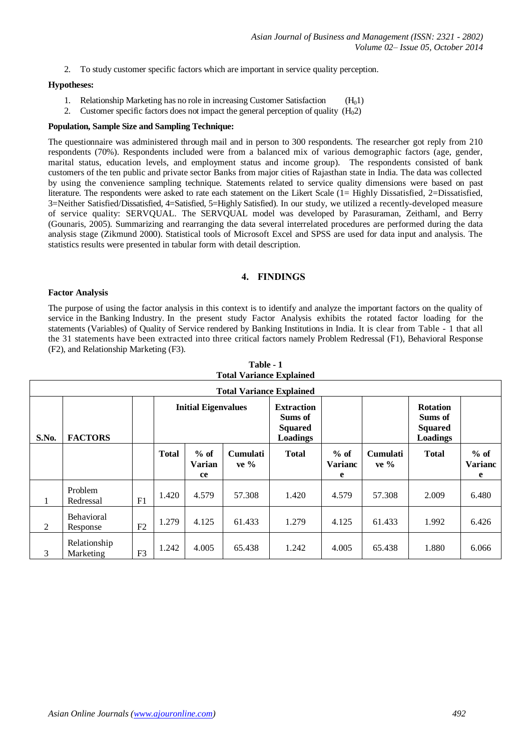2. To study customer specific factors which are important in service quality perception.

#### **Hypotheses:**

- 1. Relationship Marketing has no role in increasing Customer Satisfaction  $(H_01)$
- 2. Customer specific factors does not impact the general perception of quality  $(H<sub>0</sub>2)$

# **Population, Sample Size and Sampling Technique:**

The questionnaire was administered through mail and in person to 300 respondents. The researcher got reply from 210 respondents (70%). Respondents included were from a balanced mix of various demographic factors (age, gender, marital status, education levels, and employment status and income group). The respondents consisted of bank customers of the ten public and private sector Banks from major cities of Rajasthan state in India. The data was collected by using the convenience sampling technique. Statements related to service quality dimensions were based on past literature. The respondents were asked to rate each statement on the Likert Scale (1= Highly Dissatisfied, 2=Dissatisfied, 3=Neither Satisfied/Dissatisfied, 4=Satisfied, 5=Highly Satisfied). In our study, we utilized a recently-developed measure of service quality: SERVQUAL. The SERVQUAL model was developed by Parasuraman, Zeithaml, and Berry (Gounaris, 2005). Summarizing and rearranging the data several interrelated procedures are performed during the data analysis stage (Zikmund 2000). Statistical tools of Microsoft Excel and SPSS are used for data input and analysis. The statistics results were presented in tabular form with detail description.

#### **4. FINDINGS**

#### **Factor Analysis**

The purpose of using the factor analysis in this context is to identify and analyze the important factors on the quality of service in the Banking Industry. In the present study Factor Analysis exhibits the rotated factor loading for the statements (Variables) of Quality of Service rendered by Banking Institutions in India. It is clear from Table - 1 that all the 31 statements have been extracted into three critical factors namely Problem Redressal (F1), Behavioral Response (F2), and Relationship Marketing (F3).

|       |                               |                |                            |                               |                                                            | <b>Total Variance Explained</b> |                               |                                                                 |              |                               |
|-------|-------------------------------|----------------|----------------------------|-------------------------------|------------------------------------------------------------|---------------------------------|-------------------------------|-----------------------------------------------------------------|--------------|-------------------------------|
| S.No. | <b>FACTORS</b>                |                | <b>Initial Eigenvalues</b> |                               | <b>Extraction</b><br>Sums of<br><b>Squared</b><br>Loadings |                                 |                               | <b>Rotation</b><br>Sums of<br><b>Squared</b><br><b>Loadings</b> |              |                               |
|       |                               |                | <b>Total</b>               | $%$ of<br><b>Varian</b><br>ce | <b>Cumulati</b><br>ve %                                    | <b>Total</b>                    | $%$ of<br><b>Varianc</b><br>e | <b>Cumulati</b><br>ve %                                         | <b>Total</b> | $%$ of<br><b>Varianc</b><br>e |
| 1     | Problem<br>Redressal          | F <sub>1</sub> | 1.420                      | 4.579                         | 57.308                                                     | 1.420                           | 4.579                         | 57.308                                                          | 2.009        | 6.480                         |
| 2     | <b>Behavioral</b><br>Response | F2             | 1.279                      | 4.125                         | 61.433                                                     | 1.279                           | 4.125                         | 61.433                                                          | 1.992        | 6.426                         |
| 3     | Relationship<br>Marketing     | F <sub>3</sub> | 1.242                      | 4.005                         | 65.438                                                     | 1.242                           | 4.005                         | 65.438                                                          | 1.880        | 6.066                         |

| Table - I |                                 |  |  |
|-----------|---------------------------------|--|--|
|           | <b>Total Variance Explained</b> |  |  |

**Table - 1**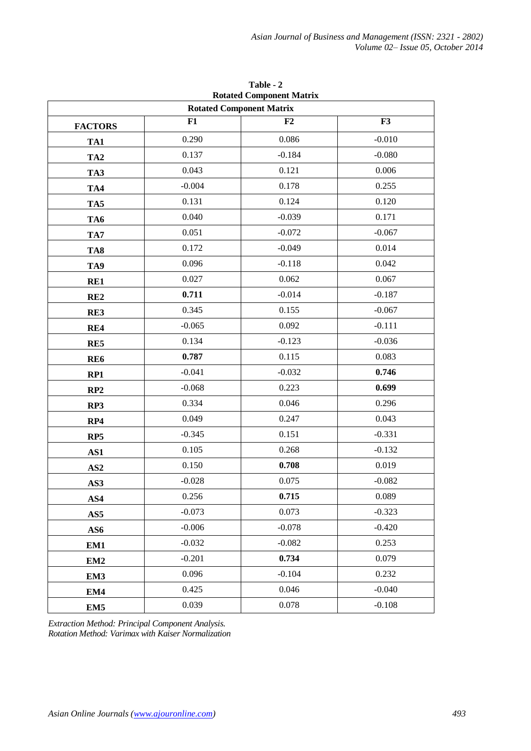| <b>Rotated Component Matrix</b><br><b>Rotated Component Matrix</b> |          |          |          |  |  |
|--------------------------------------------------------------------|----------|----------|----------|--|--|
|                                                                    | F1       | F2       | F3       |  |  |
| <b>FACTORS</b>                                                     | 0.290    | 0.086    | $-0.010$ |  |  |
| TA1                                                                | 0.137    | $-0.184$ | $-0.080$ |  |  |
| TA <sub>2</sub>                                                    |          |          | 0.006    |  |  |
| TA3                                                                | 0.043    | 0.121    |          |  |  |
| TA4                                                                | $-0.004$ | 0.178    | 0.255    |  |  |
| TA5                                                                | 0.131    | 0.124    | 0.120    |  |  |
| TA6                                                                | 0.040    | $-0.039$ | 0.171    |  |  |
| TA7                                                                | 0.051    | $-0.072$ | $-0.067$ |  |  |
| TA8                                                                | 0.172    | $-0.049$ | 0.014    |  |  |
| TA9                                                                | 0.096    | $-0.118$ | 0.042    |  |  |
| RE1                                                                | 0.027    | 0.062    | 0.067    |  |  |
| RE2                                                                | 0.711    | $-0.014$ | $-0.187$ |  |  |
| RE3                                                                | 0.345    | 0.155    | $-0.067$ |  |  |
| RE4                                                                | $-0.065$ | 0.092    | $-0.111$ |  |  |
| RE5                                                                | 0.134    | $-0.123$ | $-0.036$ |  |  |
| RE <sub>6</sub>                                                    | 0.787    | 0.115    | 0.083    |  |  |
| RP1                                                                | $-0.041$ | $-0.032$ | 0.746    |  |  |
| RP2                                                                | $-0.068$ | 0.223    | 0.699    |  |  |
| RP3                                                                | 0.334    | 0.046    | 0.296    |  |  |
| RP4                                                                | 0.049    | 0.247    | 0.043    |  |  |
| RP <sub>5</sub>                                                    | $-0.345$ | 0.151    | $-0.331$ |  |  |
| AS1                                                                | 0.105    | 0.268    | $-0.132$ |  |  |
| AS <sub>2</sub>                                                    | 0.150    | 0.708    | 0.019    |  |  |
| AS3                                                                | $-0.028$ | 0.075    | $-0.082$ |  |  |
| AS4                                                                | 0.256    | 0.715    | 0.089    |  |  |
| AS5                                                                | $-0.073$ | 0.073    | $-0.323$ |  |  |
| AS6                                                                | $-0.006$ | $-0.078$ | $-0.420$ |  |  |
| EM1                                                                | $-0.032$ | $-0.082$ | 0.253    |  |  |
| EM <sub>2</sub>                                                    | $-0.201$ | 0.734    | 0.079    |  |  |
| EM3                                                                | 0.096    | $-0.104$ | 0.232    |  |  |
| EM4                                                                | 0.425    | 0.046    | $-0.040$ |  |  |
|                                                                    | 0.039    | 0.078    | $-0.108$ |  |  |
| EM <sub>5</sub>                                                    |          |          |          |  |  |

**Table - 2 Rotated Component Matrix**

*Extraction Method: Principal Component Analysis. Rotation Method: Varimax with Kaiser Normalization*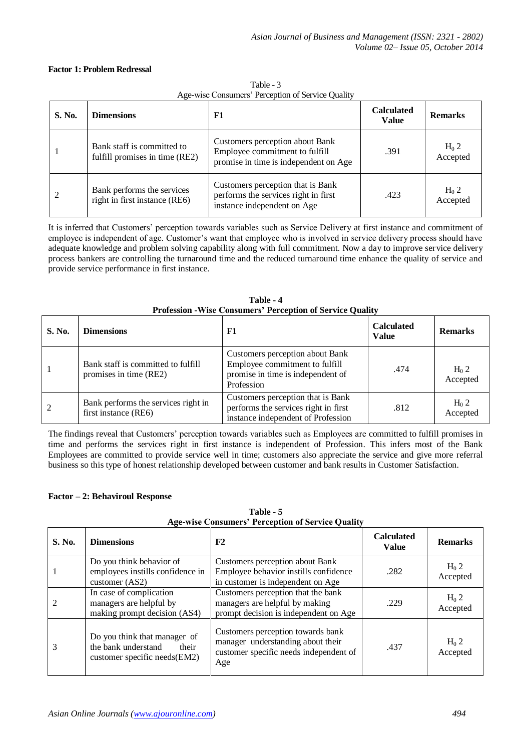#### **Factor 1: Problem Redressal**

| S. No. | <b>Dimensions</b>                                            | F1                                                                                                         | <b>Calculated</b><br><b>Value</b> | <b>Remarks</b>               |
|--------|--------------------------------------------------------------|------------------------------------------------------------------------------------------------------------|-----------------------------------|------------------------------|
|        | Bank staff is committed to<br>fulfill promises in time (RE2) | Customers perception about Bank<br>Employee commitment to fulfill<br>promise in time is independent on Age | .391                              | H <sub>0</sub> 2<br>Accepted |
|        | Bank performs the services<br>right in first instance (RE6)  | Customers perception that is Bank<br>performs the services right in first<br>instance independent on Age   | .423                              | $H_0$ 2<br>Accepted          |

Table - 3 Age-wise Consumers' Perception of Service Quality

It is inferred that Customers' perception towards variables such as Service Delivery at first instance and commitment of employee is independent of age. Customer's want that employee who is involved in service delivery process should have adequate knowledge and problem solving capability along with full commitment. Now a day to improve service delivery process bankers are controlling the turnaround time and the reduced turnaround time enhance the quality of service and provide service performance in first instance.

|        | Troression what consumers rerecption or set are quality      |                                                                                                                      |                                   |                              |  |
|--------|--------------------------------------------------------------|----------------------------------------------------------------------------------------------------------------------|-----------------------------------|------------------------------|--|
| S. No. | <b>Dimensions</b>                                            | F1                                                                                                                   | <b>Calculated</b><br><b>Value</b> | <b>Remarks</b>               |  |
|        | Bank staff is committed to fulfill<br>promises in time (RE2) | Customers perception about Bank<br>Employee commitment to fulfill<br>promise in time is independent of<br>Profession | .474                              | H <sub>0</sub> 2<br>Accepted |  |
| 2      | Bank performs the services right in<br>first instance (RE6)  | Customers perception that is Bank<br>performs the services right in first<br>instance independent of Profession      | .812                              | $H_0$ 2<br>Accepted          |  |

**Table - 4 Profession -Wise Consumers' Perception of Service Quality**

The findings reveal that Customers' perception towards variables such as Employees are committed to fulfill promises in time and performs the services right in first instance is independent of Profession. This infers most of the Bank Employees are committed to provide service well in time; customers also appreciate the service and give more referral business so this type of honest relationship developed between customer and bank results in Customer Satisfaction.

#### **Factor – 2: Behaviroul Response**

**Table - 5 Age-wise Consumers' Perception of Service Quality**

| S. No. | <b>Dimensions</b>                                                                            | F2                                                                                                                      | <b>Calculated</b><br><b>Value</b> | <b>Remarks</b>               |
|--------|----------------------------------------------------------------------------------------------|-------------------------------------------------------------------------------------------------------------------------|-----------------------------------|------------------------------|
|        | Do you think behavior of<br>employees instills confidence in<br>customer (AS2)               | Customers perception about Bank<br>Employee behavior instills confidence<br>in customer is independent on Age           | .282                              | $H_0$ 2<br>Accepted          |
|        | In case of complication<br>managers are helpful by<br>making prompt decision (AS4)           | Customers perception that the bank<br>managers are helpful by making<br>prompt decision is independent on Age           | .229                              | $H_0$ 2<br>Accepted          |
|        | Do you think that manager of<br>the bank understand<br>their<br>customer specific needs(EM2) | Customers perception towards bank<br>manager understanding about their<br>customer specific needs independent of<br>Age | .437                              | H <sub>0</sub> 2<br>Accepted |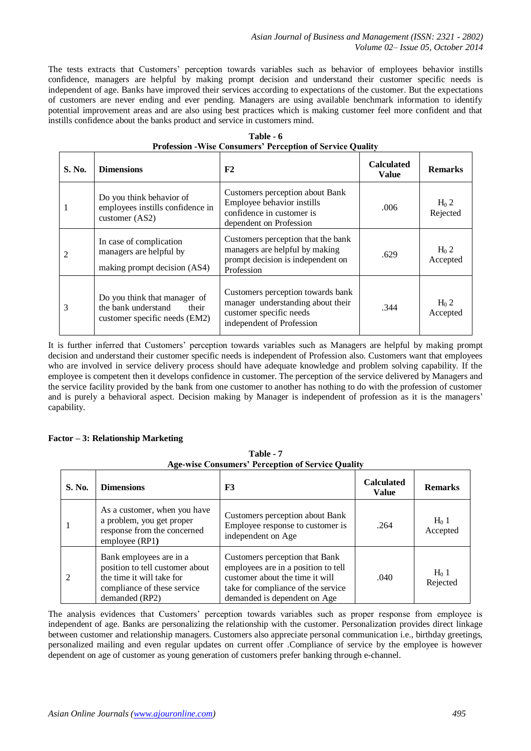The tests extracts that Customers' perception towards variables such as behavior of employees behavior instills confidence, managers are helpful by making prompt decision and understand their customer specific needs is independent of age. Banks have improved their services according to expectations of the customer. But the expectations of customers are never ending and ever pending. Managers are using available benchmark information to identify potential improvement areas and are also using best practices which is making customer feel more confident and that instills confidence about the banks product and service in customers mind.

| S. No.         | <b>Dimensions</b>                                                                             | F2                                                                                                                             | <b>Calculated</b><br>Value | <b>Remarks</b>               |
|----------------|-----------------------------------------------------------------------------------------------|--------------------------------------------------------------------------------------------------------------------------------|----------------------------|------------------------------|
|                | Do you think behavior of<br>employees instills confidence in<br>customer (AS2)                | Customers perception about Bank<br>Employee behavior instills<br>confidence in customer is<br>dependent on Profession          | .006                       | $H_0$ 2<br>Rejected          |
| $\mathfrak{D}$ | In case of complication<br>managers are helpful by<br>making prompt decision (AS4)            | Customers perception that the bank<br>managers are helpful by making<br>prompt decision is independent on<br>Profession        | .629                       | $H_0$ 2<br>Accepted          |
| 3              | Do you think that manager of<br>the bank understand<br>their<br>customer specific needs (EM2) | Customers perception towards bank<br>manager understanding about their<br>customer specific needs<br>independent of Profession | .344                       | H <sub>0</sub> 2<br>Accepted |

| Table - 6                                                         |  |  |  |  |
|-------------------------------------------------------------------|--|--|--|--|
| <b>Profession - Wise Consumers' Perception of Service Quality</b> |  |  |  |  |

It is further inferred that Customers' perception towards variables such as Managers are helpful by making prompt decision and understand their customer specific needs is independent of Profession also. Customers want that employees who are involved in service delivery process should have adequate knowledge and problem solving capability. If the employee is competent then it develops confidence in customer. The perception of the service delivered by Managers and the service facility provided by the bank from one customer to another has nothing to do with the profession of customer and is purely a behavioral aspect. Decision making by Manager is independent of profession as it is the managers' capability.

# **Factor – 3: Relationship Marketing**

| <b>Age-wise Consumers' Perception of Service Quality</b> |                                                                                                                                          |                                                                                                                                                                                |                                   |                     |  |
|----------------------------------------------------------|------------------------------------------------------------------------------------------------------------------------------------------|--------------------------------------------------------------------------------------------------------------------------------------------------------------------------------|-----------------------------------|---------------------|--|
| S. No.                                                   | <b>Dimensions</b>                                                                                                                        | F3                                                                                                                                                                             | <b>Calculated</b><br><b>Value</b> | <b>Remarks</b>      |  |
|                                                          | As a customer, when you have<br>a problem, you get proper<br>response from the concerned<br>employee (RP1)                               | Customers perception about Bank<br>Employee response to customer is<br>independent on Age                                                                                      | .264                              | $H_0$ 1<br>Accepted |  |
|                                                          | Bank employees are in a<br>position to tell customer about<br>the time it will take for<br>compliance of these service<br>demanded (RP2) | Customers perception that Bank<br>employees are in a position to tell<br>customer about the time it will<br>take for compliance of the service<br>demanded is dependent on Age | .040                              | $H_0$ 1<br>Rejected |  |

**Table - 7**

The analysis evidences that Customers' perception towards variables such as proper response from employee is independent of age. Banks are personalizing the relationship with the customer. Personalization provides direct linkage between customer and relationship managers. Customers also appreciate personal communication i.e., birthday greetings, personalized mailing and even regular updates on current offer .Compliance of service by the employee is however dependent on age of customer as young generation of customers prefer banking through e-channel.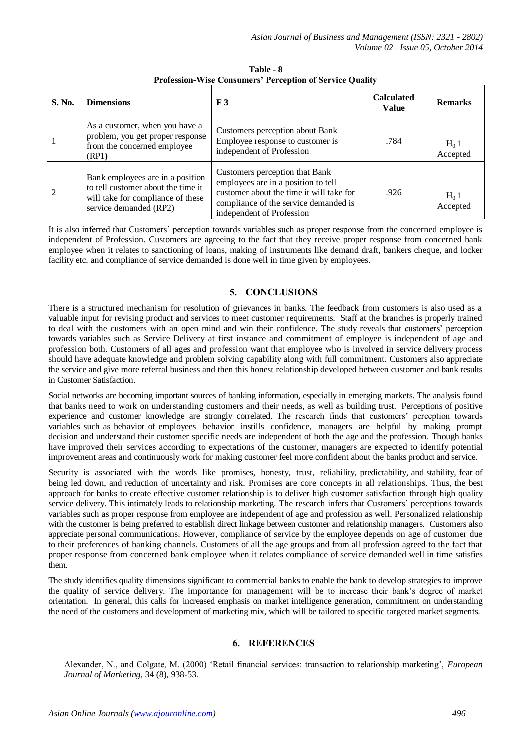| S. No. | <b>Dimensions</b>                                                                                                                     | F <sub>3</sub>                                                                                                                                                                          | <b>Calculated</b><br><b>Value</b> | <b>Remarks</b>      |
|--------|---------------------------------------------------------------------------------------------------------------------------------------|-----------------------------------------------------------------------------------------------------------------------------------------------------------------------------------------|-----------------------------------|---------------------|
|        | As a customer, when you have a<br>problem, you get proper response<br>from the concerned employee<br>(RP1)                            | Customers perception about Bank<br>Employee response to customer is<br>independent of Profession                                                                                        | .784                              | $H_0$ 1<br>Accepted |
| 2      | Bank employees are in a position<br>to tell customer about the time it<br>will take for compliance of these<br>service demanded (RP2) | Customers perception that Bank<br>employees are in a position to tell<br>customer about the time it will take for<br>compliance of the service demanded is<br>independent of Profession | .926                              | $H_0$ 1<br>Accepted |

**Table - 8 Profession-Wise Consumers' Perception of Service Quality**

It is also inferred that Customers' perception towards variables such as proper response from the concerned employee is independent of Profession. Customers are agreeing to the fact that they receive proper response from concerned bank employee when it relates to sanctioning of loans, making of instruments like demand draft, bankers cheque, and locker facility etc. and compliance of service demanded is done well in time given by employees.

# **5. CONCLUSIONS**

There is a structured mechanism for resolution of grievances in banks. The feedback from customers is also used as a valuable input for revising product and services to meet customer requirements. Staff at the branches is properly trained to deal with the customers with an open mind and win their confidence. The study reveals that customers' perception towards variables such as Service Delivery at first instance and commitment of employee is independent of age and profession both. Customers of all ages and profession want that employee who is involved in service delivery process should have adequate knowledge and problem solving capability along with full commitment. Customers also appreciate the service and give more referral business and then this honest relationship developed between customer and bank results in Customer Satisfaction.

Social networks are becoming important sources of banking information, especially in emerging markets. The analysis found that banks need to work on understanding customers and their needs, as well as building trust. Perceptions of positive experience and customer knowledge are strongly correlated. The research finds that customers' perception towards variables such as behavior of employees behavior instills confidence, managers are helpful by making prompt decision and understand their customer specific needs are independent of both the age and the profession. Though banks have improved their services according to expectations of the customer, managers are expected to identify potential improvement areas and continuously work for making customer feel more confident about the banks product and service.

Security is associated with the words like promises, honesty, trust, reliability, predictability, and stability, fear of being led down, and reduction of uncertainty and risk. Promises are core concepts in all relationships. Thus, the best approach for banks to create effective customer relationship is to deliver high customer satisfaction through high quality service delivery. This intimately leads to relationship marketing. The research infers that Customers' perceptions towards variables such as proper response from employee are independent of age and profession as well. Personalized relationship with the customer is being preferred to establish direct linkage between customer and relationship managers. Customers also appreciate personal communications. However, compliance of service by the employee depends on age of customer due to their preferences of banking channels. Customers of all the age groups and from all profession agreed to the fact that proper response from concerned bank employee when it relates compliance of service demanded well in time satisfies them.

The study identifies quality dimensions significant to commercial banks to enable the bank to develop strategies to improve the quality of service delivery. The importance for management will be to increase their bank's degree of market orientation. In general, this calls for increased emphasis on market intelligence generation, commitment on understanding the need of the customers and development of marketing mix, which will be tailored to specific targeted market segments.

# **6. REFERENCES**

Alexander, N., and Colgate, M. (2000) 'Retail financial services: transaction to relationship marketing', *European Journal of Marketing*, 34 (8), 938-53.